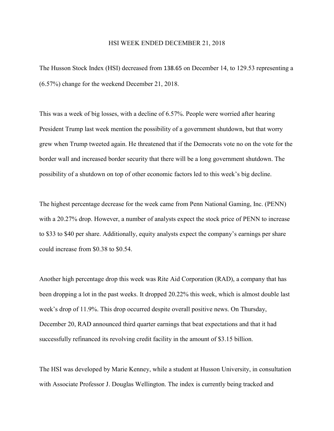## HSI WEEK ENDED DECEMBER 21, 2018

The Husson Stock Index (HSI) decreased from 138.65 on December 14, to 129.53 representing a (6.57%) change for the weekend December 21, 2018.

This was a week of big losses, with a decline of 6.57%. People were worried after hearing President Trump last week mention the possibility of a government shutdown, but that worry grew when Trump tweeted again. He threatened that if the Democrats vote no on the vote for the border wall and increased border security that there will be a long government shutdown. The possibility of a shutdown on top of other economic factors led to this week's big decline.

The highest percentage decrease for the week came from Penn National Gaming, Inc. (PENN) with a 20.27% drop. However, a number of analysts expect the stock price of PENN to increase to \$33 to \$40 per share. Additionally, equity analysts expect the company's earnings per share could increase from \$0.38 to \$0.54.

Another high percentage drop this week was Rite Aid Corporation (RAD), a company that has been dropping a lot in the past weeks. It dropped 20.22% this week, which is almost double last week's drop of 11.9%. This drop occurred despite overall positive news. On Thursday, December 20, RAD announced third quarter earnings that beat expectations and that it had successfully refinanced its revolving credit facility in the amount of \$3.15 billion.

The HSI was developed by Marie Kenney, while a student at Husson University, in consultation with Associate Professor J. Douglas Wellington. The index is currently being tracked and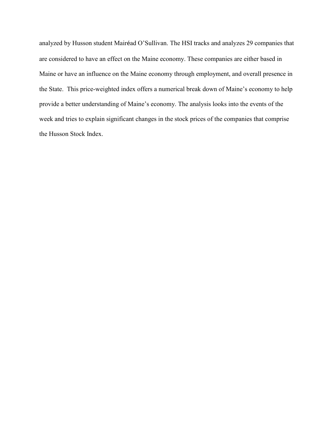analyzed by Husson student Mairéad O'Sullivan. The HSI tracks and analyzes 29 companies that are considered to have an effect on the Maine economy. These companies are either based in Maine or have an influence on the Maine economy through employment, and overall presence in the State. This price-weighted index offers a numerical break down of Maine's economy to help provide a better understanding of Maine's economy. The analysis looks into the events of the week and tries to explain significant changes in the stock prices of the companies that comprise the Husson Stock Index.